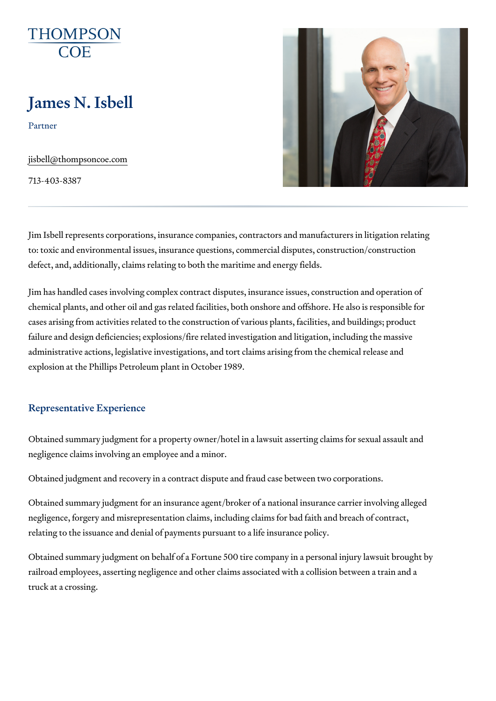# James N. Isbell

Partner

[jisbell@thompso](mailto:jisbell@thompsoncoe.com)ncoe.com

713-403-8387

Jim Isbell represents corporations, insurance companies, contractors and  $\overline{\phantom{a}}$ to: toxic and environmental issues, insurance questions, commercial dispu defect, and, additionally, claims relating to both the maritime and energy for

Jim has handled cases involving complex contract disputes, insurance issu chemical plants, and other oil and gas related facilities, both onshore and cases arising from activities related to the construction of various plants, failure and design deficiencies; explosions/fire related investigation and I administrative actions, legislative investigations, and tort claims arising f explosion at the Phillips Petroleum plant in October 1989.

### Representative Experience

Obtained summary judgment for a property owner/hotel in a lawsuit asserti negligence claims involving an employee and a minor.

Obtained judgment and recovery in a contract dispute and fraud case betw

Obtained summary judgment for an insurance agent/broker of a national in: negligence, forgery and misrepresentation claims, including claims for bad relating to the issuance and denial of payments pursuant to a life insuranc

Obtained summary judgment on behalf of a Fortune 500 tire company in a p railroad employees, asserting negligence and other claims associated with truck at a crossing.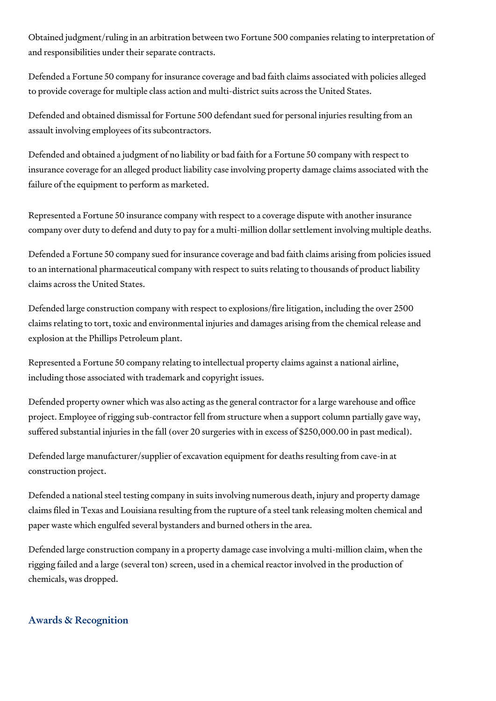Obtained judgment/ruling in an arbitration between two Fortune 500 companies relating to interpretation of and responsibilities under their separate contracts.

Defended a Fortune 50 company for insurance coverage and bad faith claims associated with policies alleged to provide coverage for multiple class action and multi-district suits across the United States.

Defended and obtained dismissal for Fortune 500 defendant sued for personal injuries resulting from an assault involving employees of its subcontractors.

Defended and obtained a judgment of no liability or bad faith for a Fortune 50 company with respect to insurance coverage for an alleged product liability case involving property damage claims associated with the failure of the equipment to perform as marketed.

Represented a Fortune 50 insurance company with respect to a coverage dispute with another insurance company over duty to defend and duty to pay for a multi-million dollar settlement involving multiple deaths.

Defended a Fortune 50 company sued for insurance coverage and bad faith claims arising from policies issued to an international pharmaceutical company with respect to suits relating to thousands of product liability claims across the United States.

Defended large construction company with respect to explosions/fire litigation, including the over 2500 claims relating to tort, toxic and environmental injuries and damages arising from the chemical release and explosion at the Phillips Petroleum plant.

Represented a Fortune 50 company relating to intellectual property claims against a national airline, including those associated with trademark and copyright issues.

Defended property owner which was also acting as the general contractor for a large warehouse and office project. Employee of rigging sub-contractor fell from structure when a support column partially gave way, suffered substantial injuries in the fall (over 20 surgeries with in excess of \$250,000.00 in past medical).

Defended large manufacturer/supplier of excavation equipment for deaths resulting from cave-in at construction project.

Defended a national steel testing company in suits involving numerous death, injury and property damage claims filed in Texas and Louisiana resulting from the rupture of a steel tank releasing molten chemical and paper waste which engulfed several bystanders and burned others in the area.

Defended large construction company in a property damage case involving a multi-million claim, when the rigging failed and a large (several ton) screen, used in a chemical reactor involved in the production of chemicals, was dropped.

## Awards & Recognition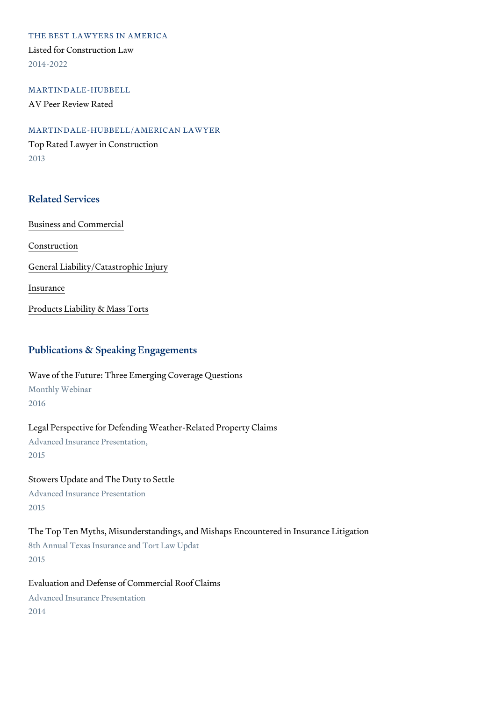THE BEST LAWYERS IN AMERICA Listed for Construction Law 2014-2022

MARTINDALE-HUBBELL AV Peer Review Rated

MARTINDALE-HUBBELL/AMERICAN LAWYER Top Rated Lawyer in Construction 2013

## Related Services

[Business and C](https://www.thompsoncoe.com/people/james-n-isbell/)ommercial

[Constru](https://www.thompsoncoe.com/people/james-n-isbell/)ction

[General Liability/Catas](https://www.thompsoncoe.com/people/james-n-isbell/)trophic Injury

[Insura](https://www.thompsoncoe.com/people/james-n-isbell/)nce

[Products Liability &](https://www.thompsoncoe.com/people/james-n-isbell/) Mass Torts

## Publications & Speaking Engagements

Wave of the Future: Three Emerging Coverage Questions Monthly Webinar 2016

Legal Perspective for Defending Weather-Related Property Claims Advanced Insurance Presentation, 2015

Stowers Update and The Duty to Settle Advanced Insurance Presentation 2015

The Top Ten Myths, Misunderstandings, and Mishaps Encountered in Insura 8th Annual Texas Insurance and Tort Law Updat 2015

Evaluation and Defense of Commercial Roof Claims Advanced Insurance Presentation 2014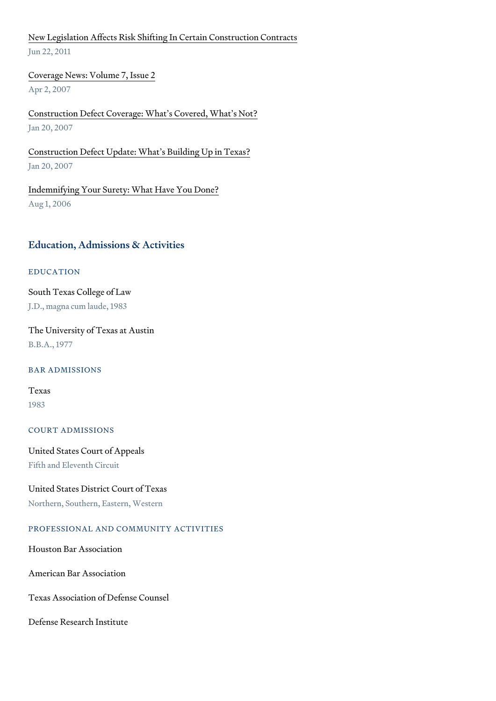[New Legislation Affects Risk Shifting In Ce](https://www.thompsoncoe.com/resources/publications/new-legislation-affects-risk-shifting-in-certain-construction-contracts/)rtain Construction Contracts Jun 22, 2011

[Coverage News: Volu](https://www.thompsoncoe.com/resources/publications/coverage-news-volume-7-issue-2/)me 7, Issue 2 Apr 2, 2007

[Construction Defect Coverage: What](https://www.thompsoncoe.com/resources/publications/construction-defect-coverage-whats-covered-whats-not/) s Covered, What s Not? Jan 20, 2007

[Construction Defect Update: What s](https://www.thompsoncoe.com/resources/publications/construction-defect-update-whats-building-up-in-texas/) Building Up in Texas? Jan 20, 2007

[Indemnifying Your Surety: Wha](https://www.thompsoncoe.com/resources/publications/indemnifying-your-surety-what-have-you-done/)t Have You Done? Aug 1, 2006

#### Education, Admissions & Activities

#### EDUCATION

South Texas College of Law J.D., magna cum laude, 1983

The University of Texas at Austin B.B.A., 1977

#### BAR ADMISSIONS

### Texas 1983

COURT ADMISSIONS

United States Court of Appeals Fifth and Eleventh Circuit

United States District Court of Texas Northern, Southern, Eastern, Western

## PROFESSIONAL AND COMMUNITY ACTIVITIES

Houston Bar Association

American Bar Association

Texas Association of Defense Counsel

Defense Research Institute